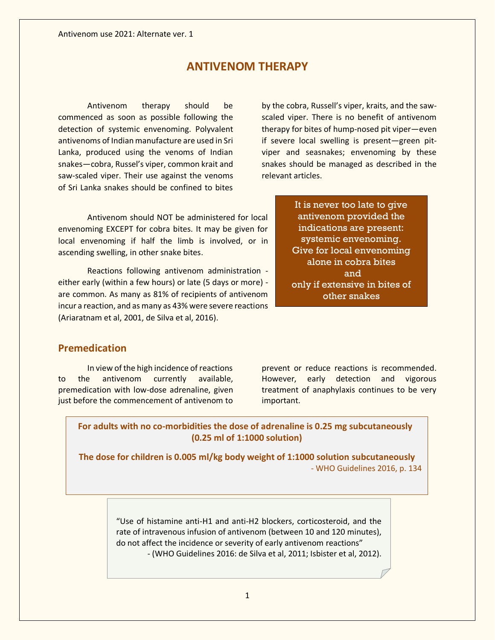# **ANTIVENOM THERAPY**

Antivenom therapy should be commenced as soon as possible following the detection of systemic envenoming. Polyvalent antivenoms of Indian manufacture are used in Sri Lanka, produced using the venoms of Indian snakes—cobra, Russel's viper, common krait and saw-scaled viper. Their use against the venoms of Sri Lanka snakes should be confined to bites

Antivenom should NOT be administered for local envenoming EXCEPT for cobra bites. It may be given for local envenoming if half the limb is involved, or in ascending swelling, in other snake bites.

Reactions following antivenom administration either early (within a few hours) or late (5 days or more) are common. As many as 81% of recipients of antivenom incur a reaction, and as many as 43% were severe reactions (Ariaratnam et al, 2001, de Silva et al, 2016).

by the cobra, Russell's viper, kraits, and the sawscaled viper. There is no benefit of antivenom therapy for bites of hump-nosed pit viper—even if severe local swelling is present—green pitviper and seasnakes; envenoming by these snakes should be managed as described in the relevant articles.

> It is never too late to give antivenom provided the indications are present: systemic envenoming. Give for local envenoming alone in cobra bites and only if extensive in bites of other snakes

### **Premedication**

In view of the high incidence of reactions to the antivenom currently available, premedication with low-dose adrenaline, given just before the commencement of antivenom to

prevent or reduce reactions is recommended. However, early detection and vigorous treatment of anaphylaxis continues to be very important.

**For adults with no co-morbidities the dose of adrenaline is 0.25 mg subcutaneously (0.25 ml of 1:1000 solution)**

**The dose for children is 0.005 ml/kg body weight of 1:1000 solution subcutaneously** - WHO Guidelines 2016, p. 134

> "Use of histamine anti-H1 and anti-H2 blockers, corticosteroid, and the rate of intravenous infusion of antivenom (between 10 and 120 minutes), do not affect the incidence or severity of early antivenom reactions" - (WHO Guidelines 2016: de Silva et al, 2011; Isbister et al, 2012).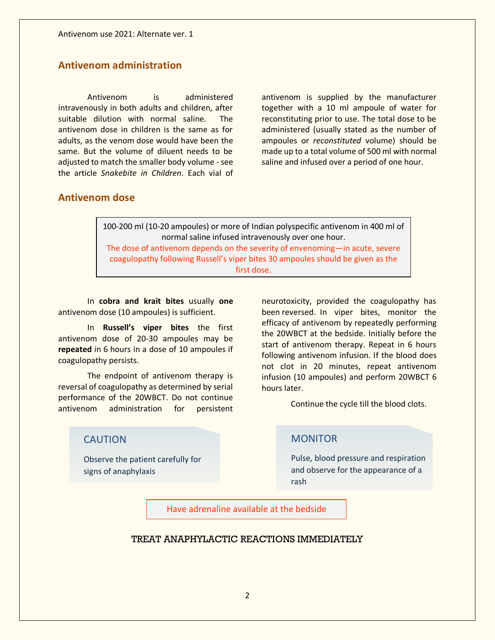## **Antivenom administration**

Antivenom is administered intravenously in both adults and children, after suitable dilution with normal saline. The antivenom dose in children is the same as for adults, as the venom dose would have been the same. But the volume of diluent needs to be adjusted to match the smaller body volume - see the article *Snakebite in Children*. Each vial of

antivenom is supplied by the manufacturer together with a 10 ml ampoule of water for reconstituting prior to use. The total dose to be administered (usually stated as the number of ampoules or *reconstituted* volume) should be made up to a total volume of 500 ml with normal saline and infused over a period of one hour.

#### **Antivenom dose**

100-200 ml (10-20 ampoules) or more of Indian polyspecific antivenom in 400 ml of normal saline infused intravenously over one hour. The dose of antivenom depends on the severity of envenoming—in acute, severe coagulopathy following Russell's viper bites 30 ampoules should be given as the first dose.

In **cobra and krait bites** usually **one** antivenom dose (10 ampoules) is sufficient.

In **Russell's viper bites** the first antivenom dose of 20-30 ampoules may be **repeated** in 6 hours in a dose of 10 ampoules if coagulopathy persists.

The endpoint of antivenom therapy is reversal of coagulopathy as determined by serial performance of the 20WBCT. Do not continue antivenom administration for persistent

#### CAUTION

Observe the patient carefully for signs of anaphylaxis

neurotoxicity, provided the coagulopathy has been reversed. In viper bites, monitor the efficacy of antivenom by repeatedly performing the 20WBCT at the bedside. Initially before the start of antivenom therapy. Repeat in 6 hours following antivenom infusion. If the blood does not clot in 20 minutes, repeat antivenom infusion (10 ampoules) and perform 20WBCT 6 hours later.

Continue the cycle till the blood clots.

#### **MONITOR**

Pulse, blood pressure and respiration and observe for the appearance of a rash

Have adrenaline available at the bedside

#### TREAT ANAPHYLACTIC REACTIONS IMMEDIATELY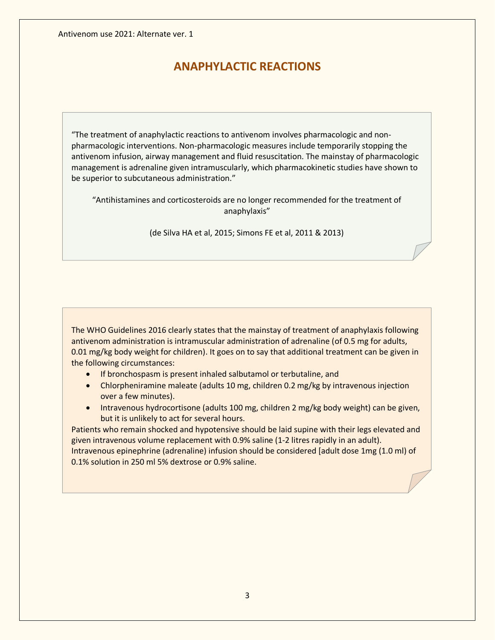# **ANAPHYLACTIC REACTIONS**

"The treatment of anaphylactic reactions to antivenom involves pharmacologic and nonpharmacologic interventions. Non-pharmacologic measures include temporarily stopping the antivenom infusion, airway management and fluid resuscitation. The mainstay of pharmacologic management is adrenaline given intramuscularly, which pharmacokinetic studies have shown to be superior to subcutaneous administration."

"Antihistamines and corticosteroids are no longer recommended for the treatment of anaphylaxis"

(de Silva HA et al, 2015; Simons FE et al, 2011 & 2013)

The WHO Guidelines 2016 clearly states that the mainstay of treatment of anaphylaxis following antivenom administration is intramuscular administration of adrenaline (of 0.5 mg for adults, 0.01 mg/kg body weight for children). It goes on to say that additional treatment can be given in the following circumstances:

- If bronchospasm is present inhaled salbutamol or terbutaline, and
- Chlorpheniramine maleate (adults 10 mg, children 0.2 mg/kg by intravenous injection over a few minutes).
- Intravenous hydrocortisone (adults 100 mg, children 2 mg/kg body weight) can be given, but it is unlikely to act for several hours.

Patients who remain shocked and hypotensive should be laid supine with their legs elevated and given intravenous volume replacement with 0.9% saline (1-2 litres rapidly in an adult). Intravenous epinephrine (adrenaline) infusion should be considered [adult dose 1mg (1.0 ml) of 0.1% solution in 250 ml 5% dextrose or 0.9% saline.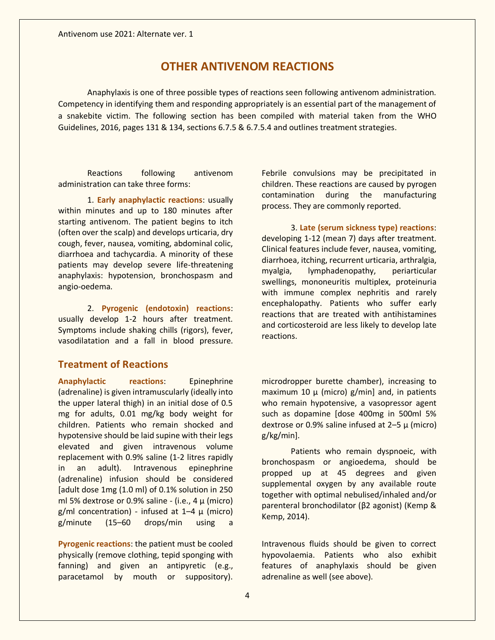## **OTHER ANTIVENOM REACTIONS**

Anaphylaxis is one of three possible types of reactions seen following antivenom administration. Competency in identifying them and responding appropriately is an essential part of the management of a snakebite victim. The following section has been compiled with material taken from the WHO Guidelines, 2016, pages 131 & 134, sections 6.7.5 & 6.7.5.4 and outlines treatment strategies.

Reactions following antivenom administration can take three forms:

1. **Early anaphylactic reactions**: usually within minutes and up to 180 minutes after starting antivenom. The patient begins to itch (often over the scalp) and develops urticaria, dry cough, fever, nausea, vomiting, abdominal colic, diarrhoea and tachycardia. A minority of these patients may develop severe life-threatening anaphylaxis: hypotension, bronchospasm and angio-oedema.

2. **Pyrogenic (endotoxin) reactions**: usually develop 1-2 hours after treatment. Symptoms include shaking chills (rigors), fever, vasodilatation and a fall in blood pressure.

#### **Treatment of Reactions**

**Anaphylactic reactions**: Epinephrine (adrenaline) is given intramuscularly (ideally into the upper lateral thigh) in an initial dose of 0.5 mg for adults, 0.01 mg/kg body weight for children. Patients who remain shocked and hypotensive should be laid supine with their legs elevated and given intravenous volume replacement with 0.9% saline (1-2 litres rapidly in an adult). Intravenous epinephrine (adrenaline) infusion should be considered [adult dose 1mg (1.0 ml) of 0.1% solution in 250 ml 5% dextrose or 0.9% saline - (i.e.,  $4 \mu$  (micro) g/ml concentration) - infused at  $1-4$  μ (micro) g/minute (15–60 drops/min using a

**Pyrogenic reactions**: the patient must be cooled physically (remove clothing, tepid sponging with fanning) and given an antipyretic (e.g., paracetamol by mouth or suppository).

Febrile convulsions may be precipitated in children. These reactions are caused by pyrogen contamination during the manufacturing process. They are commonly reported.

3. **Late (serum sickness type) reactions**: developing 1-12 (mean 7) days after treatment. Clinical features include fever, nausea, vomiting, diarrhoea, itching, recurrent urticaria, arthralgia, myalgia, lymphadenopathy, periarticular swellings, mononeuritis multiplex, proteinuria with immune complex nephritis and rarely encephalopathy. Patients who suffer early reactions that are treated with antihistamines and corticosteroid are less likely to develop late reactions.

microdropper burette chamber), increasing to maximum 10  $\mu$  (micro) g/min] and, in patients who remain hypotensive, a vasopressor agent such as dopamine [dose 400mg in 500ml 5% dextrose or 0.9% saline infused at  $2-5 \mu$  (micro) g/kg/min].

Patients who remain dyspnoeic, with bronchospasm or angioedema, should be propped up at 45 degrees and given supplemental oxygen by any available route together with optimal nebulised/inhaled and/or parenteral bronchodilator (β2 agonist) (Kemp & Kemp, 2014).

Intravenous fluids should be given to correct hypovolaemia. Patients who also exhibit features of anaphylaxis should be given adrenaline as well (see above).